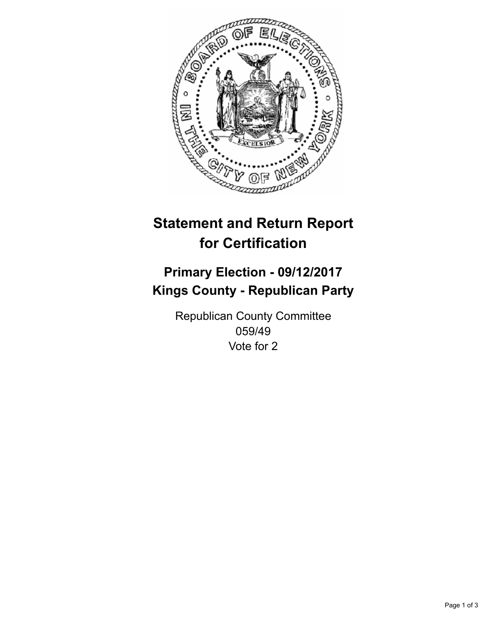

## **Statement and Return Report for Certification**

## **Primary Election - 09/12/2017 Kings County - Republican Party**

Republican County Committee 059/49 Vote for 2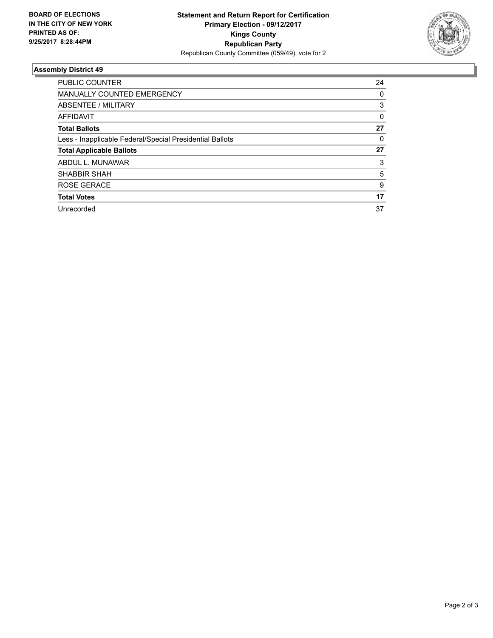

## **Assembly District 49**

| <b>PUBLIC COUNTER</b>                                    | 24 |
|----------------------------------------------------------|----|
| <b>MANUALLY COUNTED EMERGENCY</b>                        | 0  |
| ABSENTEE / MILITARY                                      | 3  |
| AFFIDAVIT                                                | 0  |
| <b>Total Ballots</b>                                     | 27 |
| Less - Inapplicable Federal/Special Presidential Ballots | 0  |
| <b>Total Applicable Ballots</b>                          | 27 |
| ABDUL L. MUNAWAR                                         | 3  |
| <b>SHABBIR SHAH</b>                                      | 5  |
| <b>ROSE GERACE</b>                                       | 9  |
| <b>Total Votes</b>                                       | 17 |
| Unrecorded                                               | 37 |